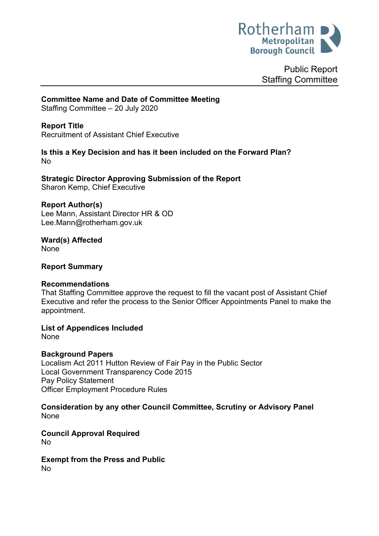

Public Report Staffing Committee

# **Committee Name and Date of Committee Meeting**

Staffing Committee – 20 July 2020

## **Report Title**

Recruitment of Assistant Chief Executive

#### **Is this a Key Decision and has it been included on the Forward Plan?** No

**Strategic Director Approving Submission of the Report** Sharon Kemp, Chief Executive

#### **Report Author(s)**

Lee Mann, Assistant Director HR & OD Lee.Mann@rotherham.gov.uk

**Ward(s) Affected** None

#### **Report Summary**

### **Recommendations**

That Staffing Committee approve the request to fill the vacant post of Assistant Chief Executive and refer the process to the Senior Officer Appointments Panel to make the appointment.

**List of Appendices Included**

None

### **Background Papers**

Localism Act 2011 Hutton Review of Fair Pay in the Public Sector Local Government Transparency Code 2015 Pay Policy Statement Officer Employment Procedure Rules

**Consideration by any other Council Committee, Scrutiny or Advisory Panel** None

**Council Approval Required** No

#### **Exempt from the Press and Public** No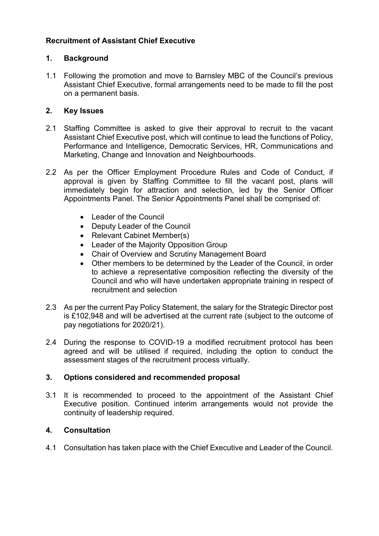## **Recruitment of Assistant Chief Executive**

### **1. Background**

1.1 Following the promotion and move to Barnsley MBC of the Council's previous Assistant Chief Executive, formal arrangements need to be made to fill the post on a permanent basis.

### **2. Key Issues**

- 2.1 Staffing Committee is asked to give their approval to recruit to the vacant Assistant Chief Executive post, which will continue to lead the functions of Policy, Performance and Intelligence, Democratic Services, HR, Communications and Marketing, Change and Innovation and Neighbourhoods.
- 2.2 As per the Officer Employment Procedure Rules and Code of Conduct, if approval is given by Staffing Committee to fill the vacant post, plans will immediately begin for attraction and selection, led by the Senior Officer Appointments Panel. The Senior Appointments Panel shall be comprised of:
	- Leader of the Council
	- Deputy Leader of the Council
	- Relevant Cabinet Member(s)
	- Leader of the Majority Opposition Group
	- Chair of Overview and Scrutiny Management Board
	- Other members to be determined by the Leader of the Council, in order to achieve a representative composition reflecting the diversity of the Council and who will have undertaken appropriate training in respect of recruitment and selection
- 2.3 As per the current Pay Policy Statement, the salary for the Strategic Director post is £102,948 and will be advertised at the current rate (subject to the outcome of pay negotiations for 2020/21).
- 2.4 During the response to COVID-19 a modified recruitment protocol has been agreed and will be utilised if required, including the option to conduct the assessment stages of the recruitment process virtually.

#### **3. Options considered and recommended proposal**

3.1 It is recommended to proceed to the appointment of the Assistant Chief Executive position. Continued interim arrangements would not provide the continuity of leadership required.

### **4. Consultation**

4.1 Consultation has taken place with the Chief Executive and Leader of the Council.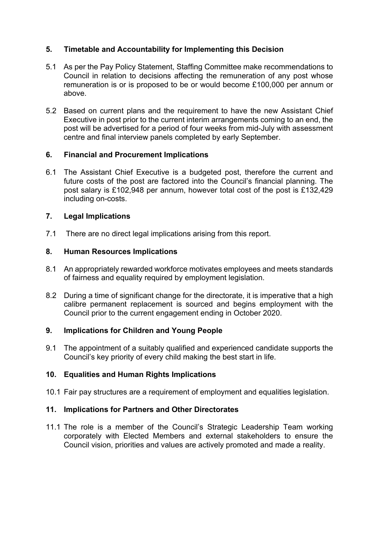## **5. Timetable and Accountability for Implementing this Decision**

- 5.1 As per the Pay Policy Statement, Staffing Committee make recommendations to Council in relation to decisions affecting the remuneration of any post whose remuneration is or is proposed to be or would become £100,000 per annum or above.
- 5.2 Based on current plans and the requirement to have the new Assistant Chief Executive in post prior to the current interim arrangements coming to an end, the post will be advertised for a period of four weeks from mid-July with assessment centre and final interview panels completed by early September.

### **6. Financial and Procurement Implications**

6.1 The Assistant Chief Executive is a budgeted post, therefore the current and future costs of the post are factored into the Council's financial planning. The post salary is £102,948 per annum, however total cost of the post is £132,429 including on-costs.

#### **7. Legal Implications**

7.1 There are no direct legal implications arising from this report.

#### **8. Human Resources Implications**

- 8.1 An appropriately rewarded workforce motivates employees and meets standards of fairness and equality required by employment legislation.
- 8.2 During a time of significant change for the directorate, it is imperative that a high calibre permanent replacement is sourced and begins employment with the Council prior to the current engagement ending in October 2020.

#### **9. Implications for Children and Young People**

9.1 The appointment of a suitably qualified and experienced candidate supports the Council's key priority of every child making the best start in life.

#### **10. Equalities and Human Rights Implications**

10.1 Fair pay structures are a requirement of employment and equalities legislation.

### **11. Implications for Partners and Other Directorates**

11.1 The role is a member of the Council's Strategic Leadership Team working corporately with Elected Members and external stakeholders to ensure the Council vision, priorities and values are actively promoted and made a reality.